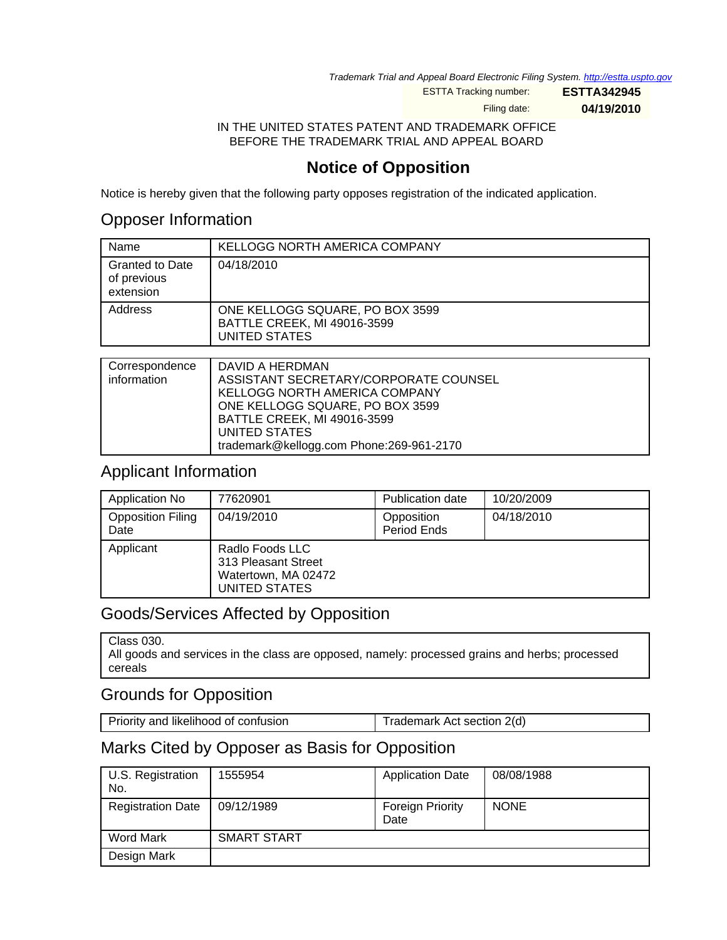Trademark Trial and Appeal Board Electronic Filing System. <http://estta.uspto.gov>

ESTTA Tracking number: **ESTTA342945**

Filing date: **04/19/2010**

IN THE UNITED STATES PATENT AND TRADEMARK OFFICE BEFORE THE TRADEMARK TRIAL AND APPEAL BOARD

# **Notice of Opposition**

Notice is hereby given that the following party opposes registration of the indicated application.

# Opposer Information

| Name                                               | KELLOGG NORTH AMERICA COMPANY                                                   |
|----------------------------------------------------|---------------------------------------------------------------------------------|
| <b>Granted to Date</b><br>of previous<br>extension | 04/18/2010                                                                      |
| Address                                            | ONE KELLOGG SQUARE, PO BOX 3599<br>BATTLE CREEK, MI 49016-3599<br>UNITED STATES |
|                                                    |                                                                                 |
| A 1                                                | <b>BALUBA LIPBBAAALI</b>                                                        |

| Correspondence | I DAVID A HERDMAN                        |
|----------------|------------------------------------------|
| information    | ASSISTANT SECRETARY/CORPORATE COUNSEL    |
|                | KELLOGG NORTH AMERICA COMPANY            |
|                | ONE KELLOGG SQUARE, PO BOX 3599          |
|                | <b>BATTLE CREEK, MI 49016-3599</b>       |
|                | UNITED STATES                            |
|                | trademark@kellogg.com Phone:269-961-2170 |

## Applicant Information

| Application No                   | 77620901                                                                       | <b>Publication date</b>   | 10/20/2009 |
|----------------------------------|--------------------------------------------------------------------------------|---------------------------|------------|
| <b>Opposition Filing</b><br>Date | 04/19/2010                                                                     | Opposition<br>Period Ends | 04/18/2010 |
| Applicant                        | Radlo Foods LLC<br>313 Pleasant Street<br>Watertown, MA 02472<br>UNITED STATES |                           |            |

# Goods/Services Affected by Opposition

Class 030. All goods and services in the class are opposed, namely: processed grains and herbs; processed cereals

# Grounds for Opposition

Priority and likelihood of confusion Trademark Act section 2(d)

# Marks Cited by Opposer as Basis for Opposition

| U.S. Registration<br>No. | 1555954     | <b>Application Date</b>         | 08/08/1988  |
|--------------------------|-------------|---------------------------------|-------------|
| <b>Registration Date</b> | 09/12/1989  | <b>Foreign Priority</b><br>Date | <b>NONE</b> |
| Word Mark                | SMART START |                                 |             |
| Design Mark              |             |                                 |             |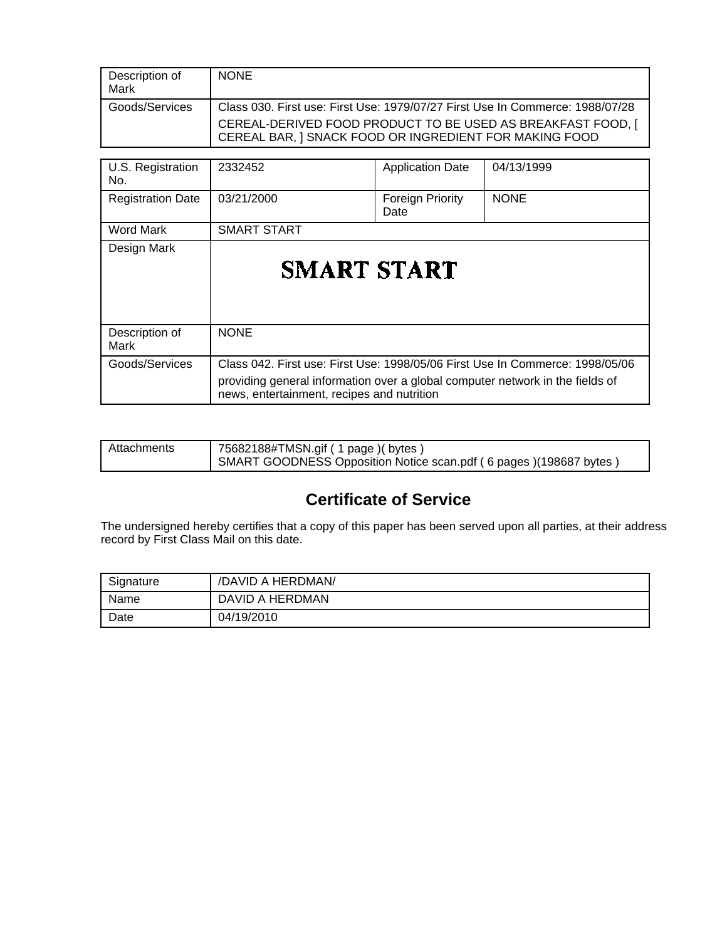| Description of<br>Mark   | <b>NONE</b>                                                                                                                                                                                                  |                                         |            |  |  |
|--------------------------|--------------------------------------------------------------------------------------------------------------------------------------------------------------------------------------------------------------|-----------------------------------------|------------|--|--|
| Goods/Services           | Class 030. First use: First Use: 1979/07/27 First Use In Commerce: 1988/07/28                                                                                                                                |                                         |            |  |  |
|                          | CEREAL-DERIVED FOOD PRODUCT TO BE USED AS BREAKFAST FOOD, [<br>CEREAL BAR, I SNACK FOOD OR INGREDIENT FOR MAKING FOOD                                                                                        |                                         |            |  |  |
|                          |                                                                                                                                                                                                              |                                         |            |  |  |
| U.S. Registration<br>No. | 2332452                                                                                                                                                                                                      | <b>Application Date</b>                 | 04/13/1999 |  |  |
| <b>Registration Date</b> | 03/21/2000                                                                                                                                                                                                   | <b>NONE</b><br>Foreign Priority<br>Date |            |  |  |
| Word Mark                | <b>SMART START</b>                                                                                                                                                                                           |                                         |            |  |  |
| Design Mark              | SMART START                                                                                                                                                                                                  |                                         |            |  |  |
| Description of<br>Mark   | <b>NONE</b>                                                                                                                                                                                                  |                                         |            |  |  |
| Goods/Services           | Class 042. First use: First Use: 1998/05/06 First Use In Commerce: 1998/05/06<br>providing general information over a global computer network in the fields of<br>news, entertainment, recipes and nutrition |                                         |            |  |  |

| Attachments | 75682188#TMSN.gif ( 1 page )( bytes )                             |
|-------------|-------------------------------------------------------------------|
|             | SMART GOODNESS Opposition Notice scan.pdf (6 pages)(198687 bytes) |

# **Certificate of Service**

The undersigned hereby certifies that a copy of this paper has been served upon all parties, at their address record by First Class Mail on this date.

| Signature | /DAVID A HERDMAN/ |
|-----------|-------------------|
| Name      | DAVID A HERDMAN   |
| Date      | 04/19/2010        |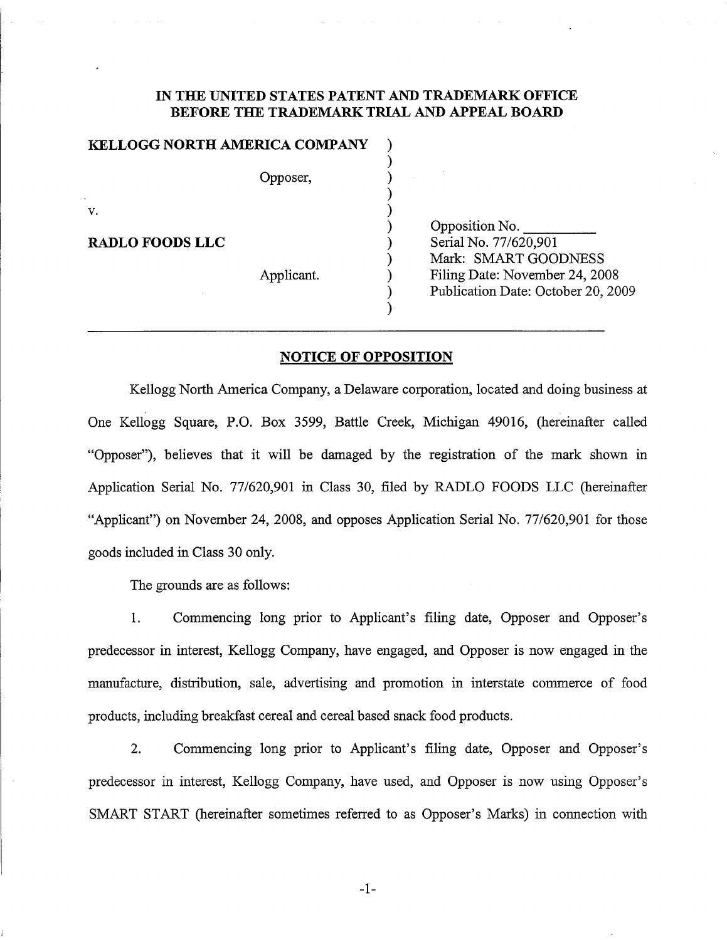## IN THE UNITED STATES PATENT AND TRADEMARK OFFICE BEFORE THE TRADEMARK TRIAL AND APPEAL BOARD

| Opposer, |  |
|----------|--|

**KELLOGG NORTH AMERICA COMPANY** 

v.

**RADLO FOODS LLC** 

Applicant.

Opposition No. Serial No. 77/620.901 Mark: SMART GOODNESS Filing Date: November 24, 2008 Publication Date: October 20, 2009

### **NOTICE OF OPPOSITION**

Kellogg North America Company, a Delaware corporation, located and doing business at One Kellogg Square, P.O. Box 3599, Battle Creek, Michigan 49016, (hereinafter called "Opposer"), believes that it will be damaged by the registration of the mark shown in Application Serial No. 77/620,901 in Class 30, filed by RADLO FOODS LLC (hereinafter "Applicant") on November 24, 2008, and opposes Application Serial No. 77/620,901 for those goods included in Class 30 only.

The grounds are as follows:

1. Commencing long prior to Applicant's filing date, Opposer and Opposer's predecessor in interest, Kellogg Company, have engaged, and Opposer is now engaged in the manufacture, distribution, sale, advertising and promotion in interstate commerce of food products, including breakfast cereal and cereal based snack food products.

 $2.$ Commencing long prior to Applicant's filing date, Opposer and Opposer's predecessor in interest, Kellogg Company, have used, and Opposer is now using Opposer's SMART START (hereinafter sometimes referred to as Opposer's Marks) in connection with

 $-1-$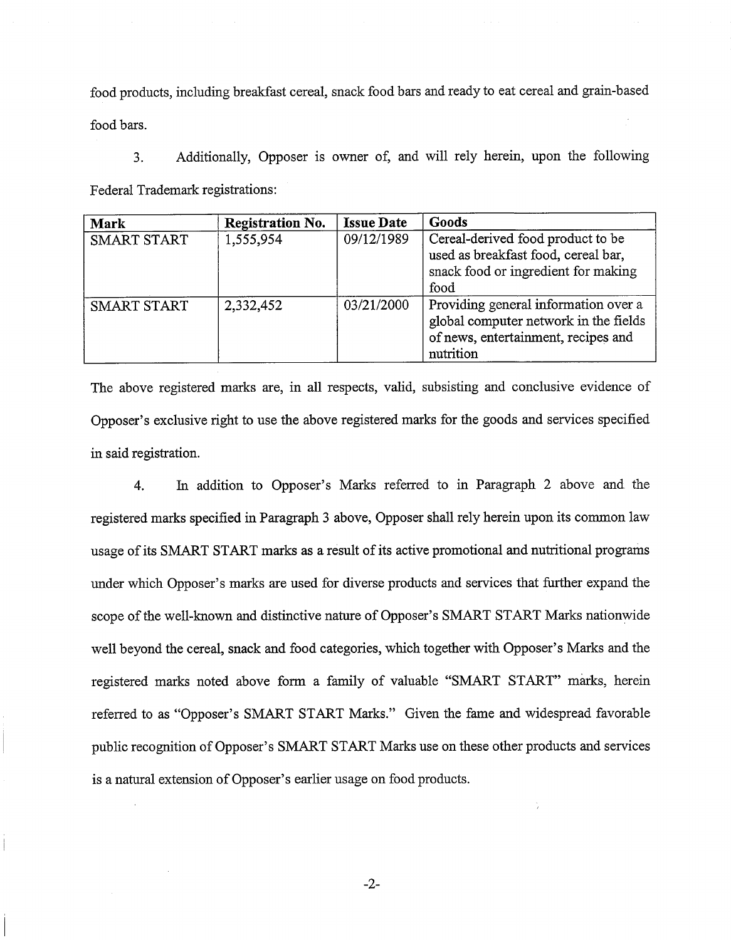food products, including breakfast cereal, snack food bars and ready to eat cereal and grain-based food bars.

Additionally, Opposer is owner of, and will rely herein, upon the following  $3<sub>1</sub>$ Federal Trademark registrations:

| <b>Mark</b>        | <b>Registration No.</b> | <b>Issue Date</b> | Goods                                                                                                                             |
|--------------------|-------------------------|-------------------|-----------------------------------------------------------------------------------------------------------------------------------|
| <b>SMART START</b> | 1,555,954               | 09/12/1989        | Cereal-derived food product to be<br>used as breakfast food, cereal bar,<br>snack food or ingredient for making<br>food           |
| <b>SMART START</b> | 2,332,452               | 03/21/2000        | Providing general information over a<br>global computer network in the fields<br>of news, entertainment, recipes and<br>nutrition |

The above registered marks are, in all respects, valid, subsisting and conclusive evidence of Opposer's exclusive right to use the above registered marks for the goods and services specified in said registration.

In addition to Opposer's Marks referred to in Paragraph 2 above and the  $\overline{4}$ . registered marks specified in Paragraph 3 above, Opposer shall rely herein upon its common law usage of its SMART START marks as a result of its active promotional and nutritional programs under which Opposer's marks are used for diverse products and services that further expand the scope of the well-known and distinctive nature of Opposer's SMART START Marks nationwide well beyond the cereal, snack and food categories, which together with Opposer's Marks and the registered marks noted above form a family of valuable "SMART START" marks, herein referred to as "Opposer's SMART START Marks." Given the fame and widespread favorable public recognition of Opposer's SMART START Marks use on these other products and services is a natural extension of Opposer's earlier usage on food products.

 $-2-$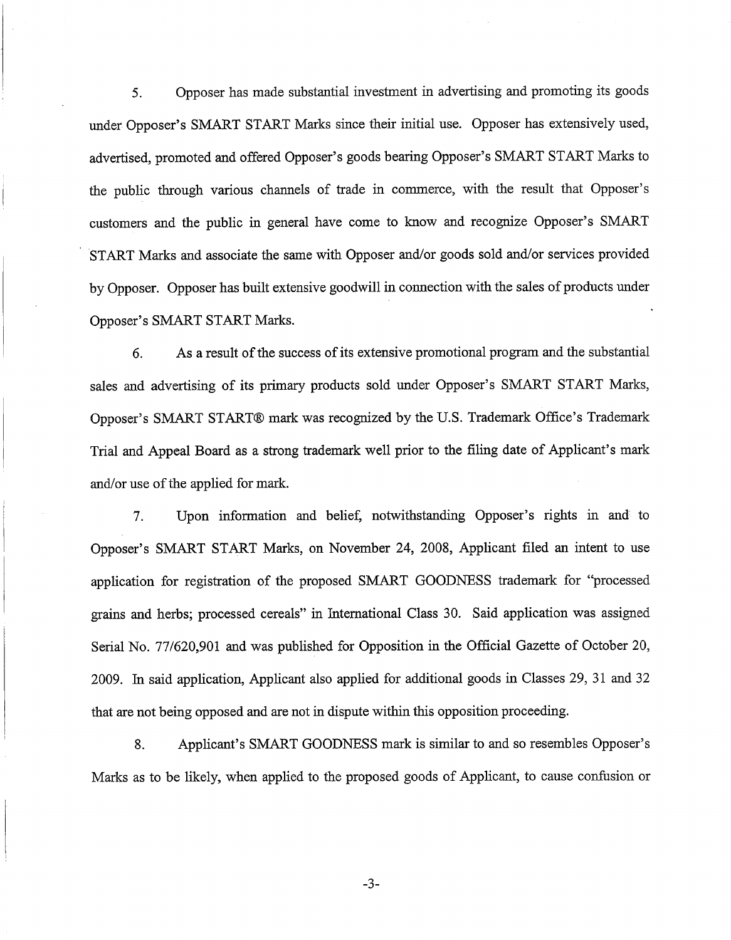Opposer has made substantial investment in advertising and promoting its goods  $5<sub>1</sub>$ under Opposer's SMART START Marks since their initial use. Opposer has extensively used, advertised, promoted and offered Opposer's goods bearing Opposer's SMART START Marks to the public through various channels of trade in commerce, with the result that Opposer's customers and the public in general have come to know and recognize Opposer's SMART START Marks and associate the same with Opposer and/or goods sold and/or services provided by Opposer. Opposer has built extensive goodwill in connection with the sales of products under Opposer's SMART START Marks.

6. As a result of the success of its extensive promotional program and the substantial sales and advertising of its primary products sold under Opposer's SMART START Marks, Opposer's SMART START® mark was recognized by the U.S. Trademark Office's Trademark Trial and Appeal Board as a strong trademark well prior to the filing date of Applicant's mark and/or use of the applied for mark.

Upon information and belief, notwithstanding Opposer's rights in and to  $7.$ Opposer's SMART START Marks, on November 24, 2008, Applicant filed an intent to use application for registration of the proposed SMART GOODNESS trademark for "processed grains and herbs; processed cereals" in International Class 30. Said application was assigned Serial No. 77/620,901 and was published for Opposition in the Official Gazette of October 20, 2009. In said application, Applicant also applied for additional goods in Classes 29, 31 and 32 that are not being opposed and are not in dispute within this opposition proceeding.

Applicant's SMART GOODNESS mark is similar to and so resembles Opposer's 8. Marks as to be likely, when applied to the proposed goods of Applicant, to cause confusion or

 $-3-$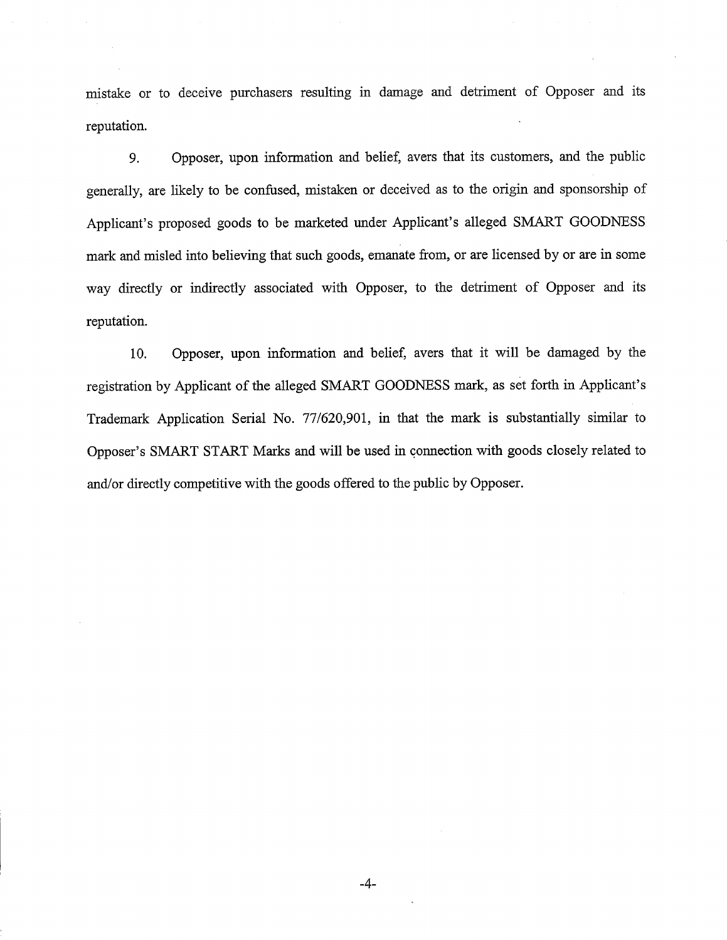mistake or to deceive purchasers resulting in damage and detriment of Opposer and its reputation.

9. Opposer, upon information and belief, avers that its customers, and the public generally, are likely to be confused, mistaken or deceived as to the origin and sponsorship of Applicant's proposed goods to be marketed under Applicant's alleged SMART GOODNESS mark and misled into believing that such goods, emanate from, or are licensed by or are in some way directly or indirectly associated with Opposer, to the detriment of Opposer and its reputation.

10. Opposer, upon information and belief, avers that it will be damaged by the registration by Applicant of the alleged SMART GOODNESS mark, as set forth in Applicant's Trademark Application Serial No. 77/620,901, in that the mark is substantially similar to Opposer's SMART START Marks and will be used in connection with goods closely related to and/or directly competitive with the goods offered to the public by Opposer.

 $-4-$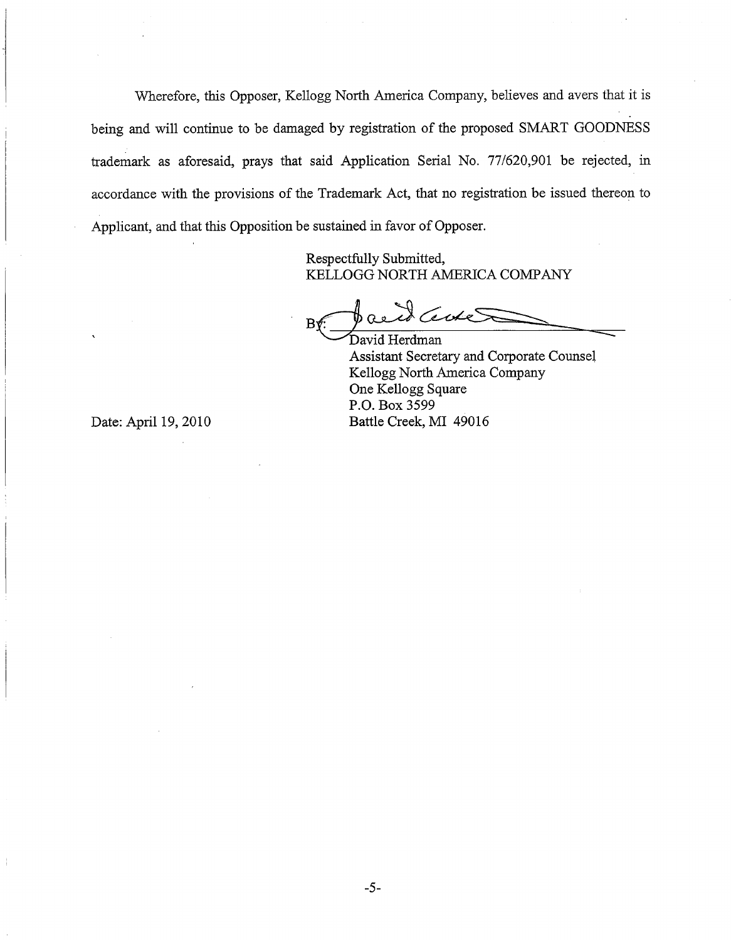Wherefore, this Opposer, Kellogg North America Company, believes and avers that it is being and will continue to be damaged by registration of the proposed SMART GOODNESS trademark as aforesaid, prays that said Application Serial No. 77/620,901 be rejected, in accordance with the provisions of the Trademark Act, that no registration be issued thereon to Applicant, and that this Opposition be sustained in favor of Opposer.

> Respectfully Submitted, KELLOGG NORTH AMERICA COMPANY

Certe

David Herdman **Assistant Secretary and Corporate Counsel** Kellogg North America Company One Kellogg Square P.O. Box 3599 Battle Creek, MI 49016

Date: April 19, 2010